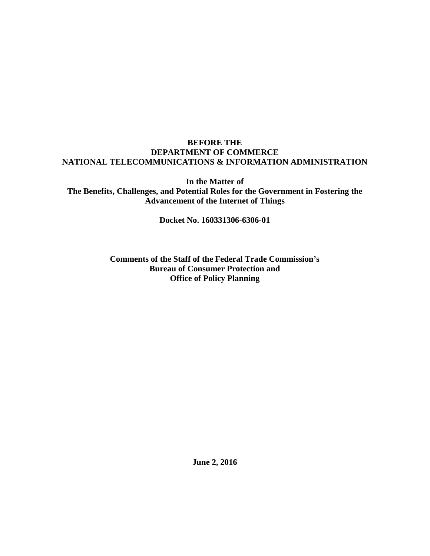## **BEFORE THE DEPARTMENT OF COMMERCE NATIONAL TELECOMMUNICATIONS & INFORMATION ADMINISTRATION**

**In the Matter of The Benefits, Challenges, and Potential Roles for the Government in Fostering the Advancement of the Internet of Things**

**Docket No. 160331306-6306-01**

**Comments of the Staff of the Federal Trade Commission's Bureau of Consumer Protection and Office of Policy Planning**

**June 2, 2016**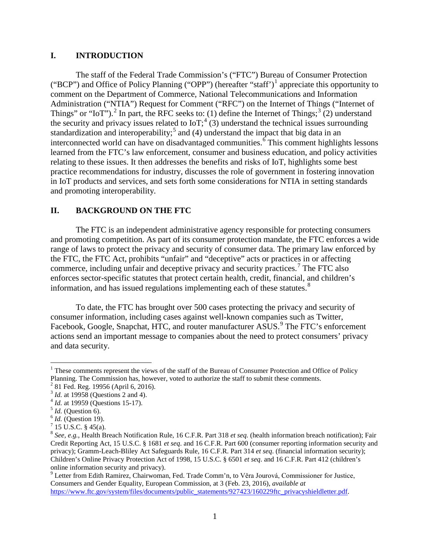### **I. INTRODUCTION**

The staff of the Federal Trade Commission's ("FTC") Bureau of Consumer Protection ("BCP") and Office of Policy Planning ("OPP") (hereafter "staff")<sup>[1](#page-1-0)</sup> appreciate this opportunity to comment on the Department of Commerce, National Telecommunications and Information Administration ("NTIA") Request for Comment ("RFC") on the Internet of Things ("Internet of Things" or "IoT").<sup>[2](#page-1-1)</sup> In part, the RFC seeks to: (1) define the Internet of Things;<sup>[3](#page-1-2)</sup> (2) understand the security and privacy issues related to IoT;<sup>[4](#page-1-3)</sup> (3) understand the technical issues surrounding standardization and interoperability;<sup>[5](#page-1-4)</sup> and (4) understand the impact that big data in an interconnected world can have on disadvantaged communities.<sup>[6](#page-1-5)</sup> This comment highlights lessons learned from the FTC's law enforcement, consumer and business education, and policy activities relating to these issues. It then addresses the benefits and risks of IoT, highlights some best practice recommendations for industry, discusses the role of government in fostering innovation in IoT products and services, and sets forth some considerations for NTIA in setting standards and promoting interoperability.

# **II. BACKGROUND ON THE FTC**

The FTC is an independent administrative agency responsible for protecting consumers and promoting competition. As part of its consumer protection mandate, the FTC enforces a wide range of laws to protect the privacy and security of consumer data. The primary law enforced by the FTC, the FTC Act, prohibits "unfair" and "deceptive" acts or practices in or affecting commerce, including unfair and deceptive privacy and security practices. [7](#page-1-6) The FTC also enforces sector-specific statutes that protect certain health, credit, financial, and children's information, and has issued regulations implementing each of these statutes.<sup>[8](#page-1-7)</sup>

To date, the FTC has brought over 500 cases protecting the privacy and security of consumer information, including cases against well-known companies such as Twitter, Facebook, Google, Snapchat, HTC, and router manufacturer ASUS.<sup>[9](#page-1-8)</sup> The FTC's enforcement actions send an important message to companies about the need to protect consumers' privacy and data security.

<span id="page-1-0"></span> $<sup>1</sup>$  These comments represent the views of the staff of the Bureau of Consumer Protection and Office of Policy</sup> Planning. The Commission has, however, voted to authorize the staff to submit these comments.

<span id="page-1-1"></span> $2$  81 Fed. Reg. 19956 (April 6, 2016).

<span id="page-1-2"></span><sup>&</sup>lt;sup>3</sup> *Id.* at 19958 (Questions 2 and 4).<br>
<sup>4</sup> *Id.* at 19959 (Questions 15-17).<br>
<sup>5</sup> *Id.* (Question 6).<br>
<sup>6</sup> *Id.* (Question 19).<br>
<sup>7</sup> 15 U.S.C. § 45(a).

<span id="page-1-3"></span>

<span id="page-1-4"></span>

<span id="page-1-5"></span>

<span id="page-1-6"></span>

<span id="page-1-7"></span><sup>8</sup> *See, e.g.*, Health Breach Notification Rule, 16 C.F.R. Part 318 *et seq.* (health information breach notification); Fair Credit Reporting Act, 15 U.S.C. § 1681 *et seq*. and 16 C.F.R. Part 600 (consumer reporting information security and privacy); Gramm-Leach-Bliley Act Safeguards Rule, 16 C.F.R. Part 314 *et seq*. (financial information security); Children's Online Privacy Protection Act of 1998, 15 U.S.C. § 6501 *et seq*. and 16 C.F.R. Part 412 (children's online information security and privacy).

<span id="page-1-8"></span><sup>9</sup> Letter from Edith Ramirez, Chairwoman, Fed. Trade Comm'n, to Věra Jourová, Commissioner for Justice, Consumers and Gender Equality, European Commission, at 3 (Feb. 23, 2016), *available at* [https://www.ftc.gov/system/files/documents/public\\_statements/927423/160229ftc\\_privacyshieldletter.pdf.](https://www.ftc.gov/system/files/documents/public_statements/927423/160229ftc_privacyshieldletter.pdf)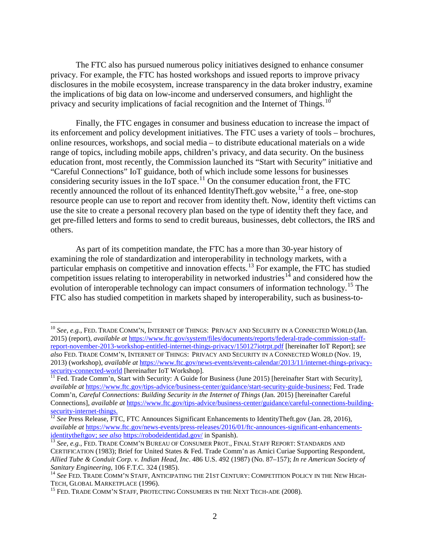The FTC also has pursued numerous policy initiatives designed to enhance consumer privacy. For example, the FTC has hosted workshops and issued reports to improve privacy disclosures in the mobile ecosystem, increase transparency in the data broker industry, examine the implications of big data on low-income and underserved consumers, and highlight the privacy and security implications of facial recognition and the Internet of Things.<sup>[10](#page-2-0)</sup>

Finally, the FTC engages in consumer and business education to increase the impact of its enforcement and policy development initiatives. The FTC uses a variety of tools – brochures, online resources, workshops, and social media – to distribute educational materials on a wide range of topics, including mobile apps, children's privacy, and data security. On the business education front, most recently, the Commission launched its "Start with Security" initiative and "Careful Connections" IoT guidance, both of which include some lessons for businesses considering security issues in the IoT space. $^{11}$  $^{11}$  $^{11}$  On the consumer education front, the FTC recently announced the rollout of its enhanced IdentityTheft.gov website,<sup>[12](#page-2-2)</sup> a free, one-stop resource people can use to report and recover from identity theft. Now, identity theft victims can use the site to create a personal recovery plan based on the type of identity theft they face, and get pre-filled letters and forms to send to credit bureaus, businesses, debt collectors, the IRS and others.

As part of its competition mandate, the FTC has a more than 30-year history of examining the role of standardization and interoperability in technology markets, with a particular emphasis on competitive and innovation effects.<sup>[13](#page-2-3)</sup> For example, the FTC has studied competition issues relating to interoperability in networked industries<sup>[14](#page-2-4)</sup> and considered how the evolution of interoperable technology can impact consumers of information technology.<sup>[15](#page-2-5)</sup> The FTC also has studied competition in markets shaped by interoperability, such as business-to-

<span id="page-2-0"></span><sup>&</sup>lt;sup>10</sup> See, e.g., FED. TRADE COMM'N, INTERNET OF THINGS: PRIVACY AND SECURITY IN A CONNECTED WORLD (Jan. 2015) (report), *available at* [https://www.ftc.gov/system/files/documents/reports/federal-trade-commission-staff](https://www.ftc.gov/system/files/documents/reports/federal-trade-commission-staff-report-november-2013-workshop-entitled-internet-things-privacy/150127iotrpt.pdf)[report-november-2013-workshop-entitled-internet-things-privacy/150127iotrpt.pdf](https://www.ftc.gov/system/files/documents/reports/federal-trade-commission-staff-report-november-2013-workshop-entitled-internet-things-privacy/150127iotrpt.pdf) [hereinafter IoT Report]; *see also* FED. TRADE COMM'N, INTERNET OF THINGS: PRIVACY AND SECURITY IN A CONNECTED WORLD (Nov. 19, 2013) (workshop), *available at* [https://www.ftc.gov/news-events/events-calendar/2013/11/internet-things-privacy-](https://www.ftc.gov/news-events/events-calendar/2013/11/internet-things-privacy-security-connected-world)

<span id="page-2-1"></span> $\frac{320 \text{ mJ}}{11}$  Fed. Trade Comm'n, Start with Security: A Guide for Business (June 2015) [hereinafter Start with Security], *available at* [https://www.ftc.gov/tips-advice/business-center/guidance/start-security-guide-business;](https://www.ftc.gov/tips-advice/business-center/guidance/start-security-guide-business) Fed. Trade Comm'n, *Careful Connections: Building Security in the Internet of Things* (Jan. 2015) [hereinafter Careful Connections], *available at* [https://www.ftc.gov/tips-advice/business-center/guidance/careful-connections-building](https://www.ftc.gov/tips-advice/business-center/guidance/careful-connections-building-security-internet-things)[security-internet-things.](https://www.ftc.gov/tips-advice/business-center/guidance/careful-connections-building-security-internet-things)<br><sup>12</sup> *See* Press Release, FTC, FTC Announces Significant Enhancements to IdentityTheft.gov (Jan. 28, 2016),

<span id="page-2-2"></span>*available at* [https://www.ftc.gov/news-events/press-releases/2016/01/ftc-announces-significant-enhancements](https://www.ftc.gov/news-events/press-releases/2016/01/ftc-announces-significant-enhancements-identitytheftgov)[identitytheftgov;](https://www.ftc.gov/news-events/press-releases/2016/01/ftc-announces-significant-enhancements-identitytheftgov) *see also* <https://robodeidentidad.gov/> in Spanish).<br><sup>13</sup> *See, e.g.*, FED. TRADE COMM'N BUREAU OF CONSUMER PROT., FINAL STAFF REPORT: STANDARDS AND

<span id="page-2-3"></span>CERTIFICATION (1983); Brief for United States & Fed. Trade Comm'n as Amici Curiae Supporting Respondent, *Allied Tube & Conduit Corp. v. Indian Head, Inc*. 486 U.S. 492 (1987) (No. 87–157); *In re American Society of* 

<span id="page-2-4"></span><sup>&</sup>lt;sup>14</sup> See FED. TRADE COMM'N STAFF, ANTICIPATING THE 21ST CENTURY: COMPETITION POLICY IN THE NEW HIGH-<br>TECH, GLOBAL MARKETPLACE (1996).

<span id="page-2-5"></span><sup>&</sup>lt;sup>15</sup> FED. TRADE COMM'N STAFF, PROTECTING CONSUMERS IN THE NEXT TECH-ADE (2008).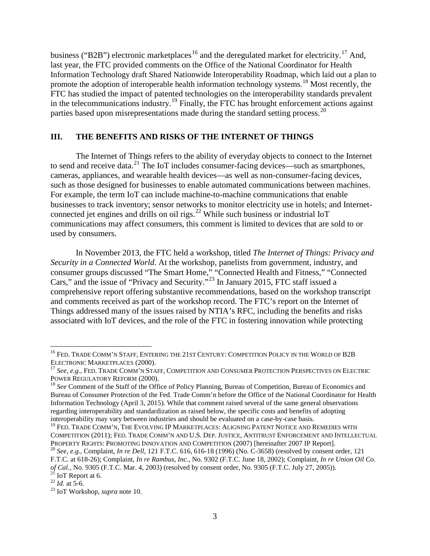business ("B2B") electronic marketplaces<sup>[16](#page-3-0)</sup> and the deregulated market for electricity.<sup>[17](#page-3-1)</sup> And, last year, the FTC provided comments on the Office of the National Coordinator for Health Information Technology draft Shared Nationwide Interoperability Roadmap, which laid out a plan to promote the adoption of interoperable health information technology systems.<sup>[18](#page-3-2)</sup> Most recently, the FTC has studied the impact of patented technologies on the interoperability standards prevalent in the telecommunications industry.[19](#page-3-3) Finally, the FTC has brought enforcement actions against parties based upon misrepresentations made during the standard setting process.<sup>[20](#page-3-4)</sup>

### **III. THE BENEFITS AND RISKS OF THE INTERNET OF THINGS**

The Internet of Things refers to the ability of everyday objects to connect to the Internet to send and receive data. $^{21}$  $^{21}$  $^{21}$  The IoT includes consumer-facing devices—such as smartphones, cameras, appliances, and wearable health devices—as well as non-consumer-facing devices, such as those designed for businesses to enable automated communications between machines. For example, the term IoT can include machine-to-machine communications that enable businesses to track inventory; sensor networks to monitor electricity use in hotels; and Internet-connected jet engines and drills on oil rigs.<sup>[22](#page-3-6)</sup> While such business or industrial IoT communications may affect consumers, this comment is limited to devices that are sold to or used by consumers.

In November 2013, the FTC held a workshop, titled *The Internet of Things: Privacy and Security in a Connected World*. At the workshop, panelists from government, industry, and consumer groups discussed "The Smart Home," "Connected Health and Fitness," "Connected Cars," and the issue of "Privacy and Security."[23](#page-3-7) In January 2015, FTC staff issued a comprehensive report offering substantive recommendations, based on the workshop transcript and comments received as part of the workshop record. The FTC's report on the Internet of Things addressed many of the issues raised by NTIA's RFC, including the benefits and risks associated with IoT devices, and the role of the FTC in fostering innovation while protecting

<span id="page-3-6"></span><span id="page-3-5"></span>

<span id="page-3-0"></span><sup>&</sup>lt;sup>16</sup> FED. TRADE COMM'N STAFF, ENTERING THE 21ST CENTURY: COMPETITION POLICY IN THE WORLD OF B2B

<span id="page-3-1"></span>ELECTRONIC MARKETPLACES (2000).<br><sup>17</sup> *See, e.g.*, Fed. Trade Comm'n Staff, Competition and Consumer Protection Perspectives on Electric<br>Power Regulatory Reform (2000).

<span id="page-3-2"></span><sup>&</sup>lt;sup>18</sup> See Comment of the Staff of the Office of Policy Planning, Bureau of Competition, Bureau of Economics and Bureau of Consumer Protection of the Fed. Trade Comm'n before the Office of the National Coordinator for Health Information Technology (April 3, 2015). While that comment raised several of the same general observations regarding interoperability and standardization as raised below, the specific costs and benefits of adopting interoperability may vary between industries and should be evaluated on a case-by-case basis.

<span id="page-3-3"></span><sup>&</sup>lt;sup>19</sup> FED. TRADE COMM'N, THE EVOLVING IP MARKETPLACES: ALIGNING PATENT NOTICE AND REMEDIES WITH COMPETITION (2011); FED. TRADE COMM'N AND U.S. DEP. JUSTICE, ANTITRUST ENFORCEMENT AND INTELLECTUAL PROPERTY RIGHTS: PROMOTING INNOVATION AND COMPETITION (2007) [hereinafter 2007 IP Report]. <sup>20</sup> *See, e.g.*, Complaint, *In re Dell*, 121 F.T.C. 616, 616-18 (1996) (No. C-3658) (resolved by consent order, 121

<span id="page-3-4"></span>F.T.C. at 618-26); Complaint, *In re Rambus, Inc.*, No. 9302 (F.T.C. June 18, 2002); Complaint*, In re Union Oil Co. of Cal.*, No. 9305 (F.T.C. Mar. 4, 2003) (resolved by consent order, No. 9305 (F.T.C. July 27, 2005)).<br><sup>21</sup> IoT Report at 6.<br><sup>22</sup> *Id.* at 5-6. <sup>23</sup> IoT Workshop, *supra* note 10.

<span id="page-3-7"></span>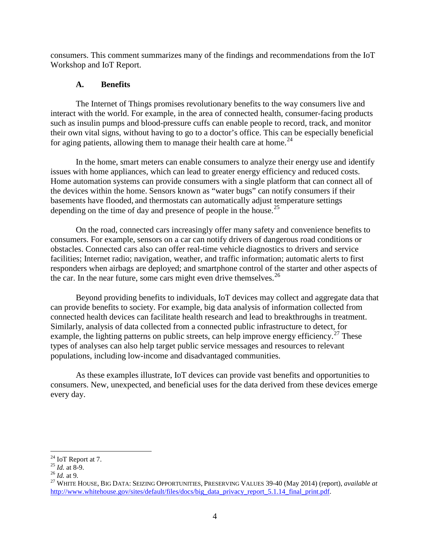consumers. This comment summarizes many of the findings and recommendations from the IoT Workshop and IoT Report.

## **A. Benefits**

The Internet of Things promises revolutionary benefits to the way consumers live and interact with the world. For example, in the area of connected health, consumer-facing products such as insulin pumps and blood-pressure cuffs can enable people to record, track, and monitor their own vital signs, without having to go to a doctor's office. This can be especially beneficial for aging patients, allowing them to manage their health care at home.<sup>[24](#page-4-0)</sup>

In the home, smart meters can enable consumers to analyze their energy use and identify issues with home appliances, which can lead to greater energy efficiency and reduced costs. Home automation systems can provide consumers with a single platform that can connect all of the devices within the home. Sensors known as "water bugs" can notify consumers if their basements have flooded, and thermostats can automatically adjust temperature settings depending on the time of day and presence of people in the house.<sup>[25](#page-4-1)</sup>

On the road, connected cars increasingly offer many safety and convenience benefits to consumers. For example, sensors on a car can notify drivers of dangerous road conditions or obstacles. Connected cars also can offer real-time vehicle diagnostics to drivers and service facilities; Internet radio; navigation, weather, and traffic information; automatic alerts to first responders when airbags are deployed; and smartphone control of the starter and other aspects of the car. In the near future, some cars might even drive themselves. $^{26}$  $^{26}$  $^{26}$ 

Beyond providing benefits to individuals, IoT devices may collect and aggregate data that can provide benefits to society. For example, big data analysis of information collected from connected health devices can facilitate health research and lead to breakthroughs in treatment. Similarly, analysis of data collected from a connected public infrastructure to detect, for example, the lighting patterns on public streets, can help improve energy efficiency.<sup>[27](#page-4-3)</sup> These types of analyses can also help target public service messages and resources to relevant populations, including low-income and disadvantaged communities.

As these examples illustrate, IoT devices can provide vast benefits and opportunities to consumers. New, unexpected, and beneficial uses for the data derived from these devices emerge every day.

<span id="page-4-1"></span>

<span id="page-4-3"></span><span id="page-4-2"></span>

<span id="page-4-0"></span><sup>&</sup>lt;sup>24</sup> IoT Report at 7.<br><sup>25</sup> *Id.* at 8-9.<br><sup>26</sup> *Id.* at 9.<br><sup>27</sup> WHITE HOUSE, BIG DATA: SEIZING OPPORTUNITIES, PRESERVING VALUES 39-40 (May 2014) (report), *available at* http://www.whitehouse.gov/sites/default/files/docs/big\_data\_privacy\_report\_5.1.14\_final\_print.pdf.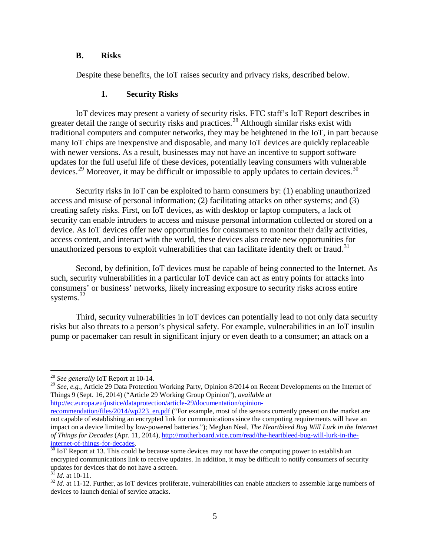#### **B. Risks**

Despite these benefits, the IoT raises security and privacy risks, described below.

#### **1. Security Risks**

IoT devices may present a variety of security risks. FTC staff's IoT Report describes in greater detail the range of security risks and practices.<sup>[28](#page-5-0)</sup> Although similar risks exist with traditional computers and computer networks, they may be heightened in the IoT, in part because many IoT chips are inexpensive and disposable, and many IoT devices are quickly replaceable with newer versions. As a result, businesses may not have an incentive to support software updates for the full useful life of these devices, potentially leaving consumers with vulnerable devices.<sup>[29](#page-5-1)</sup> Moreover, it may be difficult or impossible to apply updates to certain devices.<sup>[30](#page-5-2)</sup>

Security risks in IoT can be exploited to harm consumers by: (1) enabling unauthorized access and misuse of personal information; (2) facilitating attacks on other systems; and (3) creating safety risks. First, on IoT devices, as with desktop or laptop computers, a lack of security can enable intruders to access and misuse personal information collected or stored on a device. As IoT devices offer new opportunities for consumers to monitor their daily activities, access content, and interact with the world, these devices also create new opportunities for unauthorized persons to exploit vulnerabilities that can facilitate identity theft or fraud.<sup>[31](#page-5-3)</sup>

Second, by definition, IoT devices must be capable of being connected to the Internet. As such, security vulnerabilities in a particular IoT device can act as entry points for attacks into consumers' or business' networks, likely increasing exposure to security risks across entire systems. [32](#page-5-4)

Third, security vulnerabilities in IoT devices can potentially lead to not only data security risks but also threats to a person's physical safety. For example, vulnerabilities in an IoT insulin pump or pacemaker can result in significant injury or even death to a consumer; an attack on a

<span id="page-5-1"></span><sup>29</sup> See, e.g., Article 29 Data Protection Working Party, Opinion 8/2014 on Recent Developments on the Internet of Things 9 (Sept. 16, 2014) ("Article 29 Working Group Opinion"), *available at* [http://ec.europa.eu/justice/dataprotection/article-29/documentation/opinion-](http://ec.europa.eu/justice/dataprotection/article-29/documentation/opinion-recommendation/files/2014/wp223_en.pdf)

<span id="page-5-0"></span> <sup>28</sup> *See generally* IoT Report at 10-14.

[recommendation/files/2014/wp223\\_en.pdf](http://ec.europa.eu/justice/dataprotection/article-29/documentation/opinion-recommendation/files/2014/wp223_en.pdf) ("For example, most of the sensors currently present on the market are

not capable of establishing an encrypted link for communications since the computing requirements will have an impact on a device limited by low-powered batteries."); Meghan Neal, *The Heartbleed Bug Will Lurk in the Internet of Things for Decades* (Apr. 11, 2014), [http://motherboard.vice.com/read/the-heartbleed-bug-will-lurk-in-the](http://motherboard.vice.com/read/the-heartbleed-bug-will-lurk-in-the-internet-of-things-for-decades) $\frac{\text{internet-of-things-for-decades.}}{\text{30}$  $\frac{\text{internet-of-things-for-decades.}}{\text{30}$  $\frac{\text{internet-of-things-for-decades.}}{\text{30}$  $\frac{\text{internet-of-things-for-decades.}}{\text{30}$  $\frac{\text{internet-of-things-for-decades.}}{\text{30}$  IoT Report at 13. This could be because some devices may not have the computing power to establish an

<span id="page-5-2"></span>encrypted communications link to receive updates. In addition, it may be difficult to notify consumers of security updates for devices that do not have a screen.<br> $\frac{31}{1}$  *Id.* at 10-11.

<span id="page-5-4"></span><span id="page-5-3"></span><sup>&</sup>lt;sup>32</sup> *Id.* at 11-12. Further, as IoT devices proliferate, vulnerabilities can enable attackers to assemble large numbers of devices to launch denial of service attacks.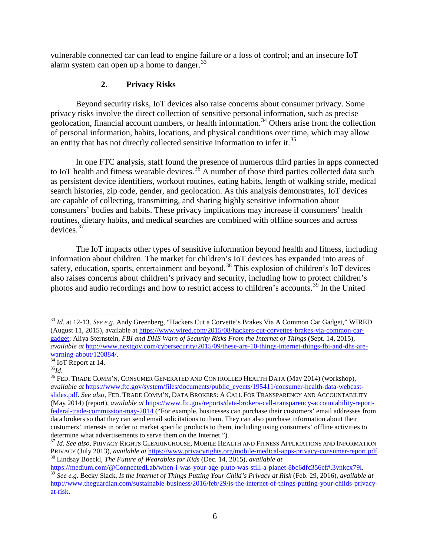vulnerable connected car can lead to engine failure or a loss of control; and an insecure IoT alarm system can open up a home to danger.<sup>[33](#page-6-0)</sup>

## **2. Privacy Risks**

Beyond security risks, IoT devices also raise concerns about consumer privacy. Some privacy risks involve the direct collection of sensitive personal information, such as precise geolocation, financial account numbers, or health information.<sup>[34](#page-6-1)</sup> Others arise from the collection of personal information, habits, locations, and physical conditions over time, which may allow an entity that has not directly collected sensitive information to infer it.<sup>[35](#page-6-2)</sup>

In one FTC analysis, staff found the presence of numerous third parties in apps connected to IoT health and fitness wearable devices.<sup>[36](#page-6-3)</sup> A number of those third parties collected data such as persistent device identifiers, workout routines, eating habits, length of walking stride, medical search histories, zip code, gender, and geolocation. As this analysis demonstrates, IoT devices are capable of collecting, transmitting, and sharing highly sensitive information about consumers' bodies and habits. These privacy implications may increase if consumers' health routines, dietary habits, and medical searches are combined with offline sources and across devices.[37](#page-6-4)

The IoT impacts other types of sensitive information beyond health and fitness, including information about children. The market for children's IoT devices has expanded into areas of safety, education, sports, entertainment and beyond.<sup>[38](#page-6-5)</sup> This explosion of children's IoT devices also raises concerns about children's privacy and security, including how to protect children's photos and audio recordings and how to restrict access to children's accounts.[39](#page-6-6) In the United

<span id="page-6-5"></span>

<span id="page-6-0"></span> <sup>33</sup> *Id.* at 12-13. *See e.g.* Andy Greenberg, "Hackers Cut a Corvette's Brakes Via A Common Car Gadget," WIRED (August 11, 2015), available at [https://www.wired.com/2015/08/hackers-cut-corvettes-brakes-via-common-car](https://www.wired.com/2015/08/hackers-cut-corvettes-brakes-via-common-car-gadget)[gadget;](https://www.wired.com/2015/08/hackers-cut-corvettes-brakes-via-common-car-gadget) Aliya Sternstein, *FBI and DHS Warn of Security Risks From the Internet of Things* (Sept. 14, 2015), *available at* [http://www.nextgov.com/cybersecurity/2015/09/these-are-10-things-internet-things-fbi-and-dhs-are-](http://www.nextgov.com/cybersecurity/2015/09/these-are-10-things-internet-things-fbi-and-dhs-are-warning-about/120884/)

<span id="page-6-3"></span>

<span id="page-6-2"></span><span id="page-6-1"></span><sup>&</sup>lt;sup>[34](http://www.nextgov.com/cybersecurity/2015/09/these-are-10-things-internet-things-fbi-and-dhs-are-warning-about/120884/)</sup> IoT Report at 14. **35**<br><sup>35</sup>*Id.* 36 FED. TRADE COMM'N, CONSUMER GENERATED AND CONTROLLED HEALTH DATA (May 2014) (workshop), *available at* [https://www.ftc.gov/system/files/documents/public\\_events/195411/consumer-health-data-webcast](https://www.ftc.gov/system/files/documents/public_events/195411/consumer-health-data-webcast-slides.pdf)[slides.pdf.](https://www.ftc.gov/system/files/documents/public_events/195411/consumer-health-data-webcast-slides.pdf) *See also,* FED. TRADE COMM'N, DATA BROKERS: A CALL FOR TRANSPARENCY AND ACCOUNTABILITY (May 2014) (report), *available at* [https://www.ftc.gov/reports/data-brokers-call-transparency-accountability-report](https://www.ftc.gov/reports/data-brokers-call-transparency-accountability-report-federal-trade-commission-may-2014)[federal-trade-commission-may-2014](https://www.ftc.gov/reports/data-brokers-call-transparency-accountability-report-federal-trade-commission-may-2014) ("For example, businesses can purchase their customers' email addresses from data brokers so that they can send email solicitations to them. They can also purchase information about their customers' interests in order to market specific products to them, including using consumers' offline activities to determine what advertisements to serve them on the Internet.").

<span id="page-6-4"></span><sup>37</sup> *Id. See also*, PRIVACY RIGHTS CLEARINGHOUSE, MOBILE HEALTH AND FITNESS APPLICATIONS AND INFORMATION PRIVACY (July 2013), *available at* [https://www.privacyrights.org/mobile-medical-apps-privacy-consumer-report.pdf.](https://www.privacyrights.org/mobile-medical-apps-privacy-consumer-report.pdf) 38 Lindsay Boeckl, *The Future of Wearables for Kids* (Dec. 14, 2015), *available at*

<span id="page-6-6"></span> $\frac{39}{39}$  See e.g. Becky Slack, Is the Internet of Things Putting Your Child's Privacy at Risk (Feb. 29, 2016), available at [http://www.theguardian.com/sustainable-business/2016/feb/29/is-the-internet-of-things-putting-your-childs-privacy](http://www.theguardian.com/sustainable-business/2016/feb/29/is-the-internet-of-things-putting-your-childs-privacy-at-risk)[at-risk.](http://www.theguardian.com/sustainable-business/2016/feb/29/is-the-internet-of-things-putting-your-childs-privacy-at-risk)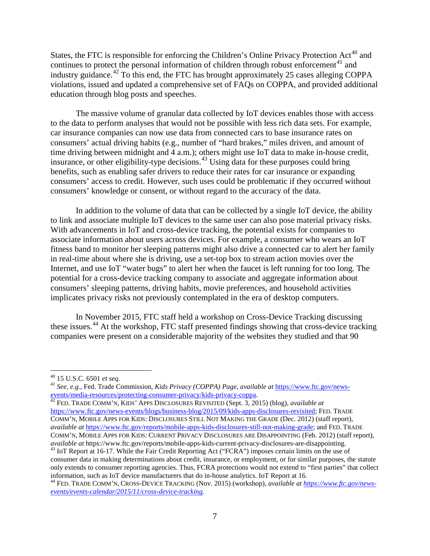States, the FTC is responsible for enforcing the Children's Online Privacy Protection Act<sup>[40](#page-7-0)</sup> and continues to protect the personal information of children through robust enforcement<sup>[41](#page-7-1)</sup> and industry guidance.<sup>[42](#page-7-2)</sup> To this end, the FTC has brought approximately 25 cases alleging COPPA violations, issued and updated a comprehensive set of FAQs on COPPA, and provided additional education through blog posts and speeches.

The massive volume of granular data collected by IoT devices enables those with access to the data to perform analyses that would not be possible with less rich data sets. For example, car insurance companies can now use data from connected cars to base insurance rates on consumers' actual driving habits (e.g., number of "hard brakes," miles driven, and amount of time driving between midnight and 4 a.m.); others might use IoT data to make in-house credit, insurance, or other eligibility-type decisions.<sup>[43](#page-7-3)</sup> Using data for these purposes could bring benefits, such as enabling safer drivers to reduce their rates for car insurance or expanding consumers' access to credit. However, such uses could be problematic if they occurred without consumers' knowledge or consent, or without regard to the accuracy of the data.

In addition to the volume of data that can be collected by a single IoT device, the ability to link and associate multiple IoT devices to the same user can also pose material privacy risks. With advancements in IoT and cross-device tracking, the potential exists for companies to associate information about users across devices. For example, a consumer who wears an IoT fitness band to monitor her sleeping patterns might also drive a connected car to alert her family in real-time about where she is driving, use a set-top box to stream action movies over the Internet, and use IoT "water bugs" to alert her when the faucet is left running for too long. The potential for a cross-device tracking company to associate and aggregate information about consumers' sleeping patterns, driving habits, movie preferences, and household activities implicates privacy risks not previously contemplated in the era of desktop computers.

In November 2015, FTC staff held a workshop on Cross-Device Tracking discussing these issues.<sup>[44](#page-7-4)</sup> At the workshop, FTC staff presented findings showing that cross-device tracking companies were present on a considerable majority of the websites they studied and that 90

<span id="page-7-2"></span>[https://www.ftc.gov/news-events/blogs/business-blog/2015/09/kids-apps-disclosures-revisited;](https://www.ftc.gov/news-events/blogs/business-blog/2015/09/kids-apps-disclosures-revisited) FED. TRADE COMM'N, MOBILE APPS FOR KIDS: DISCLOSURES STILL NOT MAKING THE GRADE (Dec. 2012) (staff report), *available at* [https://www.ftc.gov/reports/mobile-apps-kids-disclosures-still-not-making-grade;](https://www.ftc.gov/reports/mobile-apps-kids-disclosures-still-not-making-grade) and FED. TRADE COMM'N, MOBILE APPS FOR KIDS: CURRENT PRIVACY DISCLOSURES ARE DISAPPOINTING (Feb. 2012) (staff report), *available at* https://www.ftc.gov/reports/mobile-apps-kids-current-privacy-disclosures-are-disappointing.

<span id="page-7-1"></span><span id="page-7-0"></span><sup>40</sup> 15 U.S.C. 6501 *et seq.* <sup>41</sup> *See, e.g.,* Fed. Trade Commission, *Kids Privacy (COPPA) Page*, *available at* [https://www.ftc.gov/news](https://www.ftc.gov/news-events/media-resources/protecting-consumer-privacy/kids-privacy-coppa)[events/media-resources/protecting-consumer-privacy/kids-privacy-coppa.](https://www.ftc.gov/news-events/media-resources/protecting-consumer-privacy/kids-privacy-coppa) [42](https://www.ftc.gov/news-events/media-resources/protecting-consumer-privacy/kids-privacy-coppa) FED. TRADE COMM'N, KIDS' APPS DISCLOSURES REVISITED (Sept. 3, 2015) (blog), *available at*

<span id="page-7-3"></span><sup>&</sup>lt;sup>43</sup> IoT Report at 16-17. While the Fair Credit Reporting Act ("FCRA") imposes certain limits on the use of consumer data in making determinations about credit, insurance, or employment, or for similar purposes, the statute only extends to consumer reporting agencies. Thus, FCRA protections would not extend to "first parties" that collect information, such as IoT device manufacturers that do in-house analytics. IoT Report at 16.

<span id="page-7-4"></span><sup>&</sup>lt;sup>44</sup> FED. TRADE COMM'N, CROSS-DEVICE TRACKING (Nov. 2015) (workshop), *available at [https://www.ftc.gov/news](https://www.ftc.gov/news-events/events-calendar/2015/11/cross-device-tracking)[events/events-calendar/2015/11/cross-device-tracking.](https://www.ftc.gov/news-events/events-calendar/2015/11/cross-device-tracking)*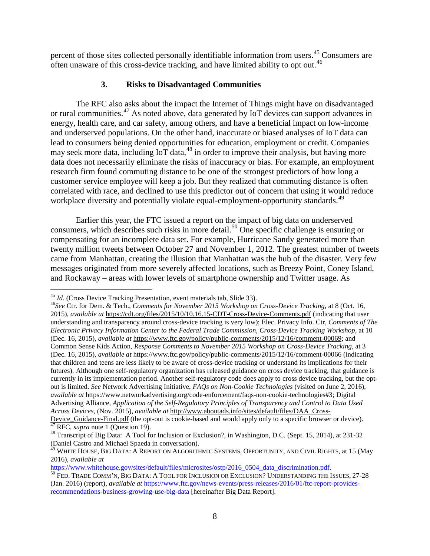percent of those sites collected personally identifiable information from users.<sup>[45](#page-8-0)</sup> Consumers are often unaware of this cross-device tracking, and have limited ability to opt out.<sup>[46](#page-8-1)</sup>

## **3. Risks to Disadvantaged Communities**

The RFC also asks about the impact the Internet of Things might have on disadvantaged or rural communities.[47](#page-8-2) As noted above, data generated by IoT devices can support advances in energy, health care, and car safety, among others, and have a beneficial impact on low-income and underserved populations. On the other hand, inaccurate or biased analyses of IoT data can lead to consumers being denied opportunities for education, employment or credit. Companies may seek more data, including IoT data,  $^{48}$  $^{48}$  $^{48}$  in order to improve their analysis, but having more data does not necessarily eliminate the risks of inaccuracy or bias. For example, an employment research firm found commuting distance to be one of the strongest predictors of how long a customer service employee will keep a job. But they realized that commuting distance is often correlated with race, and declined to use this predictor out of concern that using it would reduce workplace diversity and potentially violate equal-employment-opportunity standards.<sup>[49](#page-8-4)</sup>

Earlier this year, the FTC issued a report on the impact of big data on underserved consumers, which describes such risks in more detail.<sup>[50](#page-8-5)</sup> One specific challenge is ensuring or compensating for an incomplete data set. For example, Hurricane Sandy generated more than twenty million tweets between October 27 and November 1, 2012. The greatest number of tweets came from Manhattan, creating the illusion that Manhattan was the hub of the disaster. Very few messages originated from more severely affected locations, such as Breezy Point, Coney Island, and Rockaway – areas with lower levels of smartphone ownership and Twitter usage. As

<span id="page-8-1"></span><span id="page-8-0"></span><sup>45</sup> *Id.* (Cross Device Tracking Presentation, event materials tab, Slide 33). <sup>46</sup>*See* Ctr. for Dem. & Tech., *Comments for November 2015 Workshop on Cross-Device Tracking*, at 8 (Oct. 16, 2015), *available at* <https://cdt.org/files/2015/10/10.16.15-CDT-Cross-Device-Comments.pdf> (indicating that user understanding and transparency around cross-device tracking is very low); Elec. Privacy Info. Ctr, *Comments of The Electronic Privacy Information Center to the Federal Trade Commission, Cross-Device Tracking Workshop*, at 10 (Dec. 16, 2015), *available at* [https://www.ftc.gov/policy/public-comments/2015/12/16/comment-00069;](https://www.ftc.gov/policy/public-comments/2015/12/16/comment-00069) and Common Sense Kids Action, *Response Comments to November 2015 Workshop on Cross-Device Tracking*, at 3 (Dec. 16, 2015), *available at* <https://www.ftc.gov/policy/public-comments/2015/12/16/comment-00066> (indicating that children and teens are less likely to be aware of cross-device tracking or understand its implications for their futures). Although one self-regulatory organization has released guidance on cross device tracking, that guidance is currently in its implementation period. Another self-regulatory code does apply to cross device tracking, but the optout is limited. *See* Network Advertising Initiative, *FAQs on Non-Cookie Technologies* (visited on June 2, 2016), *available at* [https://www.networkadvertising.org/code-enforcement/faqs-non-cookie-technologies#3;](https://www.networkadvertising.org/code-enforcement/faqs-non-cookie-technologies#3) Digital Advertising Alliance, *Application of the Self-Regulatory Principles of Transparency and Control to Data Used Across Devices,* (Nov. 2015), *available at* [http://www.aboutads.info/sites/default/files/DAA\\_Cross-](http://www.aboutads.info/sites/default/files/DAA_Cross-Device_Guidance-Final.pdf)

Device Guidance-Final.pdf (the opt-out is cookie-based and would apply only to a specific browser or device).<br><sup>47</sup> RFC, *supra* note 1 (Question 19).<br><sup>48</sup> Transcript of Big Data: A Tool for Inclusion or Exclusion?, in Wash

<span id="page-8-3"></span><span id="page-8-2"></span><sup>(</sup>Daniel Castro and Michael Spaeda in conversation).

<span id="page-8-4"></span><sup>49</sup> WHITE HOUSE, BIG DATA: A REPORT ON ALGORITHMIC SYSTEMS, OPPORTUNITY, AND CIVIL RIGHTS, at 15 (May 2016), *available at*<br>https://www.whitehouse.gov/sites/default/files/microsites/ostp/2016 0504 data discrimination.pdf.

<span id="page-8-5"></span> $\frac{1}{50}$  FED. TRADE COMM'N, BIG DATA: A TOOL FOR INCLUSION OR EXCLUSION? UNDERSTANDING THE ISSUES, 27-28 (Jan. 2016) (report), *available at* [https://www.ftc.gov/news-events/press-releases/2016/01/ftc-report-provides](https://www.ftc.gov/news-events/press-releases/2016/01/ftc-report-provides-recommendations-business-growing-use-big-data)[recommendations-business-growing-use-big-data](https://www.ftc.gov/news-events/press-releases/2016/01/ftc-report-provides-recommendations-business-growing-use-big-data) [hereinafter Big Data Report].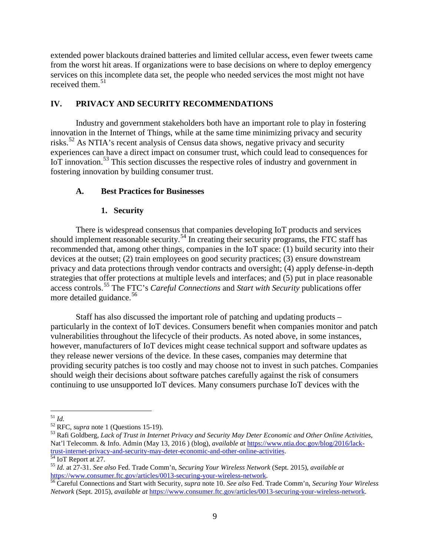extended power blackouts drained batteries and limited cellular access, even fewer tweets came from the worst hit areas. If organizations were to base decisions on where to deploy emergency services on this incomplete data set, the people who needed services the most might not have received them. $51$ 

# **IV. PRIVACY AND SECURITY RECOMMENDATIONS**

Industry and government stakeholders both have an important role to play in fostering innovation in the Internet of Things, while at the same time minimizing privacy and security risks.<sup>[52](#page-9-1)</sup> As NTIA's recent analysis of Census data shows, negative privacy and security experiences can have a direct impact on consumer trust, which could lead to consequences for IoT innovation.<sup>[53](#page-9-2)</sup> This section discusses the respective roles of industry and government in fostering innovation by building consumer trust.

### **A. Best Practices for Businesses**

## **1. Security**

There is widespread consensus that companies developing IoT products and services should implement reasonable security.<sup>[54](#page-9-3)</sup> In creating their security programs, the FTC staff has recommended that, among other things, companies in the IoT space: (1) build security into their devices at the outset; (2) train employees on good security practices; (3) ensure downstream privacy and data protections through vendor contracts and oversight; (4) apply defense-in-depth strategies that offer protections at multiple levels and interfaces; and (5) put in place reasonable access controls.[55](#page-9-4) The FTC's *Careful Connections* and *Start with Security* publications offer more detailed guidance.<sup>[56](#page-9-5)</sup>

Staff has also discussed the important role of patching and updating products – particularly in the context of IoT devices. Consumers benefit when companies monitor and patch vulnerabilities throughout the lifecycle of their products. As noted above, in some instances, however, manufacturers of IoT devices might cease technical support and software updates as they release newer versions of the device. In these cases, companies may determine that providing security patches is too costly and may choose not to invest in such patches. Companies should weigh their decisions about software patches carefully against the risk of consumers continuing to use unsupported IoT devices. Many consumers purchase IoT devices with the

<span id="page-9-2"></span><span id="page-9-1"></span>

<span id="page-9-0"></span><sup>&</sup>lt;sup>51</sup> *Id.*<br><sup>52</sup> RFC, *supra* note 1 (Questions 15-19).<br><sup>53</sup> Rafi Goldberg, *Lack of Trust in Internet Privacy and Security May Deter Economic and Other Online Activities,* Nat'l Telecomm. & Info. Admin (May 13, 2016) (blog), *available at* https://www.ntia.doc.gov/blog/2016/lack-<br>trust-internet-privacy-and-security-may-deter-economic-and-other-online-activities.

<span id="page-9-4"></span><span id="page-9-3"></span><sup>&</sup>lt;sup>[54](https://www.ntia.doc.gov/blog/2016/lack-trust-internet-privacy-and-security-may-deter-economic-and-other-online-activities)</sup> IoT Report at 27.<br><sup>55</sup> Id. at 27-31. *See also* Fed. Trade Comm'n, *Securing Your Wireless Network* (Sept. 2015), *available at*<br>https://www.consumer.ftc.gov/articles/0013-securing-your-wireless-network.

<span id="page-9-5"></span><sup>&</sup>lt;sup>[56](https://www.consumer.ftc.gov/articles/0013-securing-your-wireless-network)</sup> Careful Connections and Start with Security, *supra* note 10. *See also* Fed. Trade Comm'n, *Securing Your Wireless Network* (Sept. 2015), *available at* [https://www.consumer.ftc.gov/articles/0013-securing-your-wireless-network.](https://www.consumer.ftc.gov/articles/0013-securing-your-wireless-network)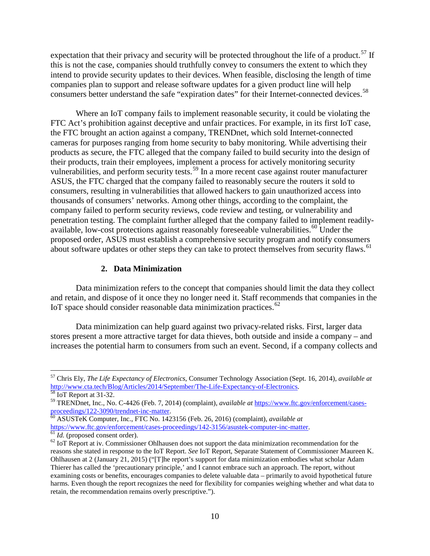expectation that their privacy and security will be protected throughout the life of a product.<sup>[57](#page-10-0)</sup> If this is not the case, companies should truthfully convey to consumers the extent to which they intend to provide security updates to their devices. When feasible, disclosing the length of time companies plan to support and release software updates for a given product line will help consumers better understand the safe "expiration dates" for their Internet-connected devices.<sup>[58](#page-10-1)</sup>

Where an IoT company fails to implement reasonable security, it could be violating the FTC Act's prohibition against deceptive and unfair practices. For example, in its first IoT case, the FTC brought an action against a company, TRENDnet, which sold Internet-connected cameras for purposes ranging from home security to baby monitoring. While advertising their products as secure, the FTC alleged that the company failed to build security into the design of their products, train their employees, implement a process for actively monitoring security vulnerabilities, and perform security tests.<sup>[59](#page-10-2)</sup> In a more recent case against router manufacturer ASUS, the FTC charged that the company failed to reasonably secure the routers it sold to consumers, resulting in vulnerabilities that allowed hackers to gain unauthorized access into thousands of consumers' networks. Among other things, according to the complaint, the company failed to perform security reviews, code review and testing, or vulnerability and penetration testing. The complaint further alleged that the company failed to implement readily-available, low-cost protections against reasonably foreseeable vulnerabilities.<sup>[60](#page-10-3)</sup> Under the proposed order, ASUS must establish a comprehensive security program and notify consumers about software updates or other steps they can take to protect themselves from security flaws.<sup>[61](#page-10-4)</sup>

#### **2. Data Minimization**

Data minimization refers to the concept that companies should limit the data they collect and retain, and dispose of it once they no longer need it. Staff recommends that companies in the IoT space should consider reasonable data minimization practices.<sup>[62](#page-10-5)</sup>

Data minimization can help guard against two privacy-related risks. First, larger data stores present a more attractive target for data thieves, both outside and inside a company – and increases the potential harm to consumers from such an event. Second, if a company collects and

<span id="page-10-0"></span> <sup>57</sup> Chris Ely, *The Life Expectancy of Electronics*, Consumer Technology Association (Sept. 16, 2014), *available at*  [http://www.cta.tech/Blog/Articles/2014/September/The-Life-Expectancy-of-Electronics.](http://www.cta.tech/Blog/Articles/2014/September/The-Life-Expectancy-of-Electronics) [58](http://www.cta.tech/Blog/Articles/2014/September/The-Life-Expectancy-of-Electronics) IoT Report at 31-32.

<span id="page-10-1"></span><sup>59</sup> TRENDnet, Inc., No. C-4426 (Feb. 7, 2014) (complaint), *available at* [https://www.ftc.gov/enforcement/cases-](https://www.ftc.gov/enforcement/cases-proceedings/122-3090/trendnet-inc-matter)

<span id="page-10-3"></span><span id="page-10-2"></span>[proceedings/122-3090/trendnet-inc-matter.](https://www.ftc.gov/enforcement/cases-proceedings/122-3090/trendnet-inc-matter)<br>
<sup>60</sup> ASUSTeK Computer, Inc., FTC No. 1423156 (Feb. 26, 2016) (complaint), *available at*<br>
https://www.ftc.gov/enforcement/cases-proceedings/142-3156/asustek-computer-inc-matter.

<span id="page-10-5"></span><span id="page-10-4"></span> $\frac{61}{61}$  *Id.* (proposed consent order).<br><sup>62</sup> IoT Report at iv. Commissioner Ohlhausen does not support the data minimization recommendation for the reasons she stated in response to the IoT Report. *See* IoT Report, Separate Statement of Commissioner Maureen K. Ohlhausen at 2 (January 21, 2015) ("[T]he report's support for data minimization embodies what scholar Adam Thierer has called the 'precautionary principle,' and I cannot embrace such an approach. The report, without examining costs or benefits, encourages companies to delete valuable data – primarily to avoid hypothetical future harms. Even though the report recognizes the need for flexibility for companies weighing whether and what data to retain, the recommendation remains overly prescriptive.").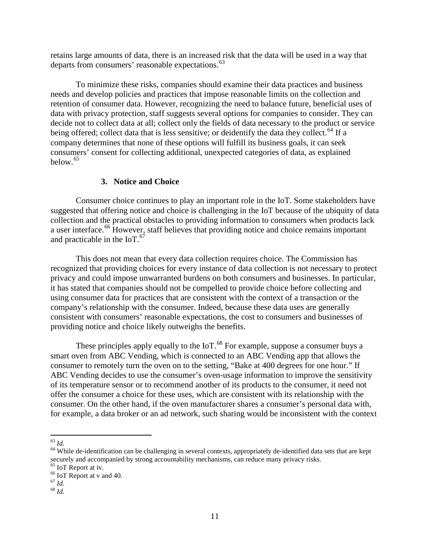retains large amounts of data, there is an increased risk that the data will be used in a way that departs from consumers' reasonable expectations.<sup>[63](#page-11-0)</sup>

To minimize these risks, companies should examine their data practices and business needs and develop policies and practices that impose reasonable limits on the collection and retention of consumer data. However, recognizing the need to balance future, beneficial uses of data with privacy protection, staff suggests several options for companies to consider. They can decide not to collect data at all; collect only the fields of data necessary to the product or service being offered; collect data that is less sensitive; or deidentify the data they collect.<sup>[64](#page-11-1)</sup> If a company determines that none of these options will fulfill its business goals, it can seek consumers' consent for collecting additional, unexpected categories of data, as explained below.[65](#page-11-2)

### **3. Notice and Choice**

Consumer choice continues to play an important role in the IoT. Some stakeholders have suggested that offering notice and choice is challenging in the IoT because of the ubiquity of data collection and the practical obstacles to providing information to consumers when products lack a user interface.<sup>[66](#page-11-3)</sup> However, staff believes that providing notice and choice remains important and practicable in the IoT.<sup>[67](#page-11-4)</sup>

This does not mean that every data collection requires choice. The Commission has recognized that providing choices for every instance of data collection is not necessary to protect privacy and could impose unwarranted burdens on both consumers and businesses. In particular, it has stated that companies should not be compelled to provide choice before collecting and using consumer data for practices that are consistent with the context of a transaction or the company's relationship with the consumer. Indeed, because these data uses are generally consistent with consumers' reasonable expectations, the cost to consumers and businesses of providing notice and choice likely outweighs the benefits.

These principles apply equally to the IoT.<sup>[68](#page-11-5)</sup> For example, suppose a consumer buys a smart oven from ABC Vending, which is connected to an ABC Vending app that allows the consumer to remotely turn the oven on to the setting, "Bake at 400 degrees for one hour." If ABC Vending decides to use the consumer's oven-usage information to improve the sensitivity of its temperature sensor or to recommend another of its products to the consumer, it need not offer the consumer a choice for these uses, which are consistent with its relationship with the consumer. On the other hand, if the oven manufacturer shares a consumer's personal data with, for example, a data broker or an ad network, such sharing would be inconsistent with the context

<span id="page-11-1"></span><span id="page-11-0"></span><sup>&</sup>lt;sup>63</sup> *Id.* 64 While de-identification can be challenging in several contexts, appropriately de-identified data sets that are kept securely and accompanied by strong accountability mechanisms, can reduce many privacy risks.

<span id="page-11-2"></span><sup>&</sup>lt;sup>65</sup> IoT Report at iv.<br><sup>66</sup> IoT Report at v and 40.<br><sup>67</sup> *Id.* 68 *Id.* 

<span id="page-11-5"></span><span id="page-11-4"></span><span id="page-11-3"></span>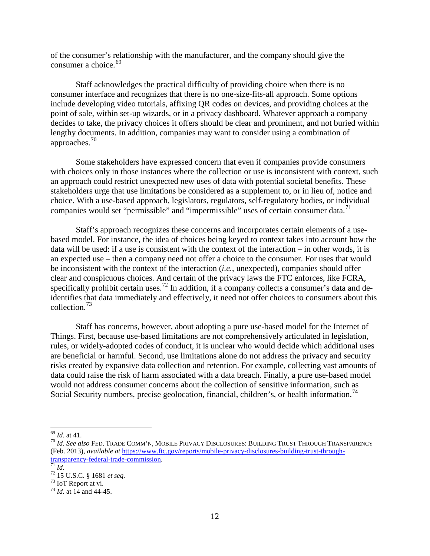of the consumer's relationship with the manufacturer, and the company should give the consumer a choice.  $69$ 

Staff acknowledges the practical difficulty of providing choice when there is no consumer interface and recognizes that there is no one-size-fits-all approach. Some options include developing video tutorials, affixing QR codes on devices, and providing choices at the point of sale, within set-up wizards, or in a privacy dashboard. Whatever approach a company decides to take, the privacy choices it offers should be clear and prominent, and not buried within lengthy documents. In addition, companies may want to consider using a combination of approaches.[70](#page-12-1)

Some stakeholders have expressed concern that even if companies provide consumers with choices only in those instances where the collection or use is inconsistent with context, such an approach could restrict unexpected new uses of data with potential societal benefits. These stakeholders urge that use limitations be considered as a supplement to, or in lieu of, notice and choice. With a use-based approach, legislators, regulators, self-regulatory bodies, or individual companies would set "permissible" and "impermissible" uses of certain consumer data. $<sup>71</sup>$  $<sup>71</sup>$  $<sup>71</sup>$ </sup>

Staff's approach recognizes these concerns and incorporates certain elements of a usebased model. For instance, the idea of choices being keyed to context takes into account how the data will be used: if a use is consistent with the context of the interaction – in other words, it is an expected use – then a company need not offer a choice to the consumer. For uses that would be inconsistent with the context of the interaction (*i.e.*, unexpected), companies should offer clear and conspicuous choices. And certain of the privacy laws the FTC enforces, like FCRA, specifically prohibit certain uses.<sup>[72](#page-12-3)</sup> In addition, if a company collects a consumer's data and deidentifies that data immediately and effectively, it need not offer choices to consumers about this collection.[73](#page-12-4)

Staff has concerns, however, about adopting a pure use-based model for the Internet of Things. First, because use-based limitations are not comprehensively articulated in legislation, rules, or widely-adopted codes of conduct, it is unclear who would decide which additional uses are beneficial or harmful. Second, use limitations alone do not address the privacy and security risks created by expansive data collection and retention. For example, collecting vast amounts of data could raise the risk of harm associated with a data breach. Finally, a pure use-based model would not address consumer concerns about the collection of sensitive information, such as Social Security numbers, precise geolocation, financial, children's, or health information.<sup>[74](#page-12-5)</sup>

<span id="page-12-1"></span><span id="page-12-0"></span><sup>69</sup> *Id.* at 41. <sup>70</sup> *Id. See also* FED. TRADE COMM'N, MOBILE PRIVACY DISCLOSURES: BUILDING TRUST THROUGH TRANSPARENCY (Feb. 2013), *available at* [https://www.ftc.gov/reports/mobile-privacy-disclosures-building-trust-through](https://www.ftc.gov/reports/mobile-privacy-disclosures-building-trust-through-transparency-federal-trade-commission)[transparency-federal-trade-commission.](https://www.ftc.gov/reports/mobile-privacy-disclosures-building-trust-through-transparency-federal-trade-commission)<br>
<sup>71</sup> *Id.*<br>
<sup>72</sup> 15 U.S.C. § 1681 *et seq.*<br>
<sup>73</sup> IoT Report at vi.<br>
<sup>74</sup> *Id.* at 14 and 44-45.

<span id="page-12-2"></span>

<span id="page-12-3"></span>

<span id="page-12-4"></span>

<span id="page-12-5"></span>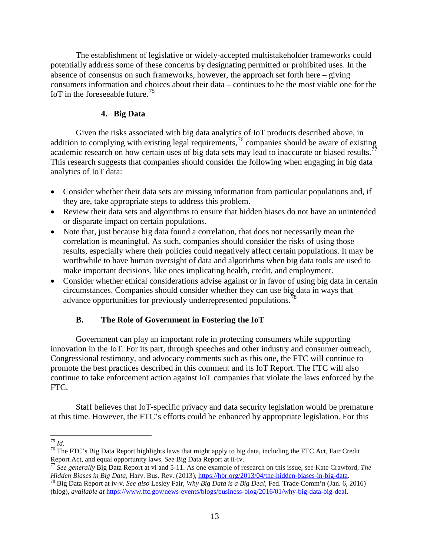The establishment of legislative or widely-accepted multistakeholder frameworks could potentially address some of these concerns by designating permitted or prohibited uses. In the absence of consensus on such frameworks, however, the approach set forth here – giving consumers information and choices about their data – continues to be the most viable one for the IoT in the foreseeable future.<sup>[75](#page-13-0)</sup>

## **4. Big Data**

Given the risks associated with big data analytics of IoT products described above, in addition to complying with existing legal requirements,  $\frac{7}{6}$  companies should be aware of existing academic research on how certain uses of big data sets may lead to inaccurate or biased results.<sup> $77$ </sup> This research suggests that companies should consider the following when engaging in big data analytics of IoT data:

- Consider whether their data sets are missing information from particular populations and, if they are, take appropriate steps to address this problem.
- Review their data sets and algorithms to ensure that hidden biases do not have an unintended or disparate impact on certain populations.
- Note that, just because big data found a correlation, that does not necessarily mean the correlation is meaningful. As such, companies should consider the risks of using those results, especially where their policies could negatively affect certain populations. It may be worthwhile to have human oversight of data and algorithms when big data tools are used to make important decisions, like ones implicating health, credit, and employment.
- Consider whether ethical considerations advise against or in favor of using big data in certain circumstances. Companies should consider whether they can use big data in ways that advance opportunities for previously underrepresented populations.<sup>[78](#page-13-3)</sup>

## **B. The Role of Government in Fostering the IoT**

Government can play an important role in protecting consumers while supporting innovation in the IoT. For its part, through speeches and other industry and consumer outreach, Congressional testimony, and advocacy comments such as this one, the FTC will continue to promote the best practices described in this comment and its IoT Report. The FTC will also continue to take enforcement action against IoT companies that violate the laws enforced by the FTC.

Staff believes that IoT-specific privacy and data security legislation would be premature at this time. However, the FTC's efforts could be enhanced by appropriate legislation. For this

<span id="page-13-1"></span><span id="page-13-0"></span><sup>&</sup>lt;sup>75</sup> *Id.*<br><sup>76</sup> The FTC's Big Data Report highlights laws that might apply to big data, including the FTC Act, Fair Credit Report Act, and equal opportunity laws. *See* Big Data Report at ii-iv.

<span id="page-13-2"></span><sup>&</sup>lt;sup>77</sup> See generally Big Data Report at vi and 5-11. As one example of research on this issue, see Kate Crawford, *The Hidden Biases in Big Data*, Harv. Bus. Rev. (2013), https://hbr.org/2013/04/the-hidden-biases-in-big-data

<span id="page-13-3"></span><sup>&</sup>lt;sup>78</sup> Big Data Report at iv-v. See also Lesley Fair, Why Big Data is a Big Deal, Fed. Trade Comm'n (Jan. 6, 2016) (blog), *available at* [https://www.ftc.gov/news-events/blogs/business-blog/2016/01/why-big-data-big-deal.](https://www.ftc.gov/news-events/blogs/business-blog/2016/01/why-big-data-big-deal)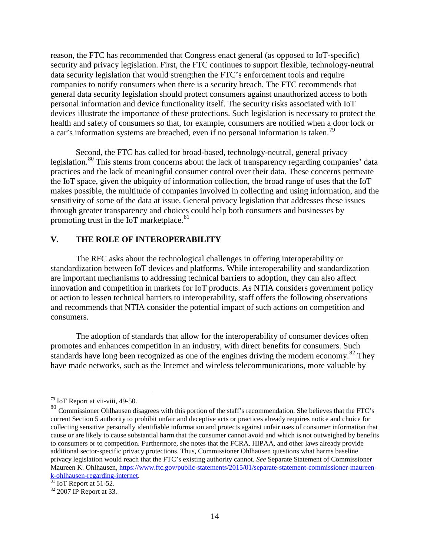reason, the FTC has recommended that Congress enact general (as opposed to IoT-specific) security and privacy legislation. First, the FTC continues to support flexible, technology-neutral data security legislation that would strengthen the FTC's enforcement tools and require companies to notify consumers when there is a security breach. The FTC recommends that general data security legislation should protect consumers against unauthorized access to both personal information and device functionality itself. The security risks associated with IoT devices illustrate the importance of these protections. Such legislation is necessary to protect the health and safety of consumers so that, for example, consumers are notified when a door lock or a car's information systems are breached, even if no personal information is taken.<sup>[79](#page-14-0)</sup>

Second, the FTC has called for broad-based, technology-neutral, general privacy legislation.<sup>[80](#page-14-1)</sup> This stems from concerns about the lack of transparency regarding companies' data practices and the lack of meaningful consumer control over their data. These concerns permeate the IoT space, given the ubiquity of information collection, the broad range of uses that the IoT makes possible, the multitude of companies involved in collecting and using information, and the sensitivity of some of the data at issue. General privacy legislation that addresses these issues through greater transparency and choices could help both consumers and businesses by promoting trust in the IoT marketplace.<sup>[81](#page-14-2)</sup>

### **V. THE ROLE OF INTEROPERABILITY**

The RFC asks about the technological challenges in offering interoperability or standardization between IoT devices and platforms. While interoperability and standardization are important mechanisms to addressing technical barriers to adoption, they can also affect innovation and competition in markets for IoT products. As NTIA considers government policy or action to lessen technical barriers to interoperability, staff offers the following observations and recommends that NTIA consider the potential impact of such actions on competition and consumers.

The adoption of standards that allow for the interoperability of consumer devices often promotes and enhances competition in an industry, with direct benefits for consumers. Such standards have long been recognized as one of the engines driving the modern economy.<sup>[82](#page-14-3)</sup> They have made networks, such as the Internet and wireless telecommunications, more valuable by

<span id="page-14-2"></span> $\frac{1}{81}$  IoT Report at 51-52.<br> $\frac{1}{82}$  2007 IP Report at 33.

 <sup>79</sup> IoT Report at vii-viii, 49-50.

<span id="page-14-1"></span><span id="page-14-0"></span><sup>80</sup> Commissioner Ohlhausen disagrees with this portion of the staff's recommendation. She believes that the FTC's current Section 5 authority to prohibit unfair and deceptive acts or practices already requires notice and choice for collecting sensitive personally identifiable information and protects against unfair uses of consumer information that cause or are likely to cause substantial harm that the consumer cannot avoid and which is not outweighed by benefits to consumers or to competition. Furthermore, she notes that the FCRA, HIPAA, and other laws already provide additional sector-specific privacy protections. Thus, Commissioner Ohlhausen questions what harms baseline privacy legislation would reach that the FTC's existing authority cannot. *See* Separate Statement of Commissioner Maureen K. Ohlhausen, https://www.ftc.gov/public-statements/2015/01/separate-statement-commissioner-maureen-<br>k-ohlhausen-regarding-internet.

<span id="page-14-3"></span>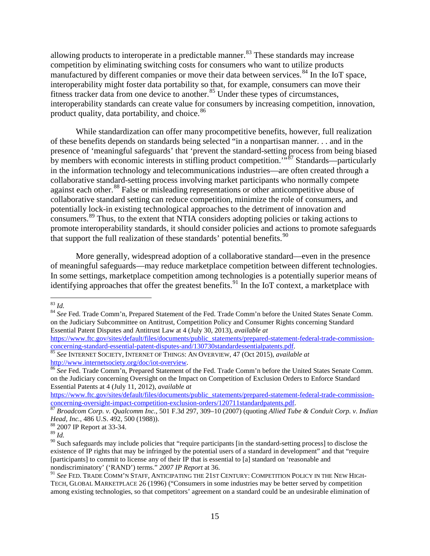allowing products to interoperate in a predictable manner.<sup>[83](#page-15-0)</sup> These standards may increase competition by eliminating switching costs for consumers who want to utilize products manufactured by different companies or move their data between services.<sup>[84](#page-15-1)</sup> In the IoT space, interoperability might foster data portability so that, for example, consumers can move their fitness tracker data from one device to another.<sup>[85](#page-15-2)</sup> Under these types of circumstances, interoperability standards can create value for consumers by increasing competition, innovation, product quality, data portability, and choice.<sup>[86](#page-15-3)</sup>

While standardization can offer many procompetitive benefits, however, full realization of these benefits depends on standards being selected "in a nonpartisan manner. . . and in the presence of 'meaningful safeguards' that 'prevent the standard-setting process from being biased by members with economic interests in stifling product competition.<sup> $5\frac{1}{2}$ </sup> Standards—particularly in the information technology and telecommunications industries—are often created through a collaborative standard-setting process involving market participants who normally compete against each other.<sup>[88](#page-15-5)</sup> False or misleading representations or other anticompetitive abuse of collaborative standard setting can reduce competition, minimize the role of consumers, and potentially lock-in existing technological approaches to the detriment of innovation and consumers.<sup>[89](#page-15-6)</sup> Thus, to the extent that NTIA considers adopting policies or taking actions to promote interoperability standards, it should consider policies and actions to promote safeguards that support the full realization of these standards' potential benefits.<sup>[90](#page-15-7)</sup>

More generally, widespread adoption of a collaborative standard—even in the presence of meaningful safeguards—may reduce marketplace competition between different technologies. In some settings, marketplace competition among technologies is a potentially superior means of identifying approaches that offer the greatest benefits.<sup>[91](#page-15-8)</sup> In the IoT context, a marketplace with

https://www.ftc.gov/sites/default/files/documents/public\_statements/prepared-statement-federal-trade-commission-<br>concerning-standard-essential-patent-disputes-and/130730standardessentialpatents.pdf.

<span id="page-15-1"></span>

<span id="page-15-0"></span><sup>&</sup>lt;sup>83</sup> *Id.* 84 *See* Fed. Trade Comm'n, Prepared Statement of the Fed. Trade Comm'n before the United States Senate Comm. on the Judiciary Subcommittee on Antitrust, Competition Policy and Consumer Rights concerning Standard Essential Patent Disputes and Antitrust Law at 4 (July 30, 2013), *available at*

<span id="page-15-2"></span>[concerning-standard-essential-patent-disputes-and/130730standardessentialpatents.pdf. 85](https://www.ftc.gov/sites/default/files/documents/public_statements/prepared-statement-federal-trade-commission-concerning-standard-essential-patent-disputes-and/130730standardessentialpatents.pdf) *See* INTERNET SOCIETY, INTERNET OF THINGS: AN OVERVIEW, 47 (Oct 2015)*, available at*  [http://www.internetsociety.org/doc/iot-overview.](http://www.internetsociety.org/doc/iot-overview) <sup>86</sup> *See* Fed. Trade Comm'n, Prepared Statement of the Fed. Trade Comm'n before the United States Senate Comm.

<span id="page-15-3"></span>on the Judiciary concerning Oversight on the Impact on Competition of Exclusion Orders to Enforce Standard Essential Patents at 4 (July 11, 2012), *available at*

[https://www.ftc.gov/sites/default/files/documents/public\\_statements/prepared-statement-federal-trade-commission](https://www.ftc.gov/sites/default/files/documents/public_statements/prepared-statement-federal-trade-commission-concerning-oversight-impact-competition-exclusion-orders/120711standardpatents.pdf)[concerning-oversight-impact-competition-exclusion-orders/120711standardpatents.pdf. 87](https://www.ftc.gov/sites/default/files/documents/public_statements/prepared-statement-federal-trade-commission-concerning-oversight-impact-competition-exclusion-orders/120711standardpatents.pdf) *Broadcom Corp. v. Qualcomm Inc.*, 501 F.3d 297, 309–10 (2007) (quoting *Allied Tube & Conduit Corp. v. Indian* 

<span id="page-15-4"></span>*Head, Inc.*, 486 U.S. 492, <sup>500</sup> (1988)). 88 2007 IP Report at 33-34.

<span id="page-15-5"></span>

<span id="page-15-6"></span><sup>89</sup> *Id.*

<span id="page-15-7"></span><sup>&</sup>lt;sup>90</sup> Such safeguards may include policies that "require participants [in the standard-setting process] to disclose the existence of IP rights that may be infringed by the potential users of a standard in development" and that "require [participants] to commit to license any of their IP that is essential to [a] standard on 'reasonable and nondiscriminatory' ('RAND') terms." *2007 IP Report* at 36.

<span id="page-15-8"></span><sup>91</sup> *See* FED. TRADE COMM'N STAFF, ANTICIPATING THE 21ST CENTURY: COMPETITION POLICY IN THE NEW HIGH-TECH, GLOBAL MARKETPLACE 26 (1996) ("Consumers in some industries may be better served by competition among existing technologies, so that competitors' agreement on a standard could be an undesirable elimination of